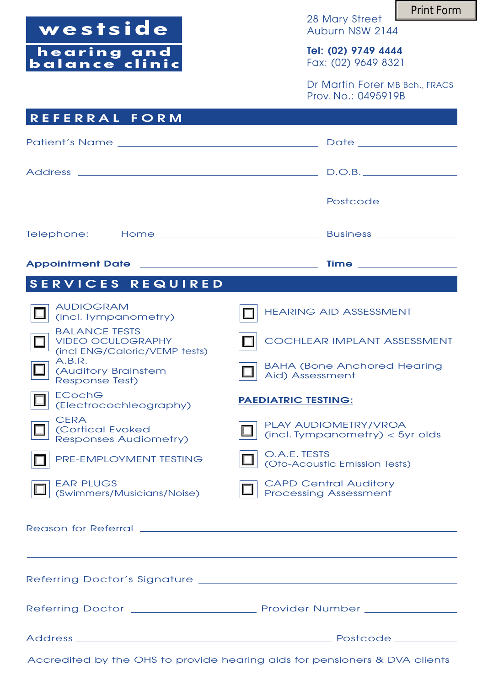westside

**hearing and balance clinic** 28 Mary Street Auburn NSW 2144

**Tel: (02) 9749 4444** Fax: (02) 9649 8321

Dr Martin Forer MB Bch., FRACS Prov. No.: 0495919B

| <b>REFERRAL FORM</b>                                                              |                                                              |
|-----------------------------------------------------------------------------------|--------------------------------------------------------------|
|                                                                                   |                                                              |
|                                                                                   |                                                              |
|                                                                                   |                                                              |
|                                                                                   |                                                              |
| Telephone:                                                                        |                                                              |
|                                                                                   |                                                              |
| <b>SERVICES REQUIRED</b>                                                          |                                                              |
| <b>AUDIOGRAM</b><br>(incl. Tympanometry)                                          | <b>HEARING AID ASSESSMENT</b>                                |
| <b>BALANCE TESTS</b><br><b>VIDEO OCULOGRAPHY</b><br>(incl ENG/Caloric/VEMP tests) | COCHLEAR IMPLANT ASSESSMENT                                  |
| A.B.R.<br>(Auditory Brainstem<br>Response Test)                                   | <b>BAHA (Bone Anchored Hearing</b><br>Aid) Assessment        |
| <b>ECochG</b><br>(Electrocochleography)                                           | <b>PAEDIATRIC TESTING:</b>                                   |
| <b>CERA</b><br>(Cortical Evoked<br><b>Responses Audiometry)</b>                   | PLAY AUDIOMETRY/VROA<br>$(incl. Tympanometry) < 5$ yr olds   |
| PRE-EMPLOYMENT TESTING                                                            | O.A.E. TESTS<br>(Oto-Acoustic Emission Tests)                |
| <b>EAR PLUGS</b><br>(Swimmers/Musicians/Noise)                                    | <b>CAPD Central Auditory</b><br><b>Processing Assessment</b> |
|                                                                                   |                                                              |
|                                                                                   |                                                              |
|                                                                                   |                                                              |
|                                                                                   |                                                              |
|                                                                                   |                                                              |
|                                                                                   |                                                              |

Accredited by the OHS to provide hearing aids for pensioners & DVA clients